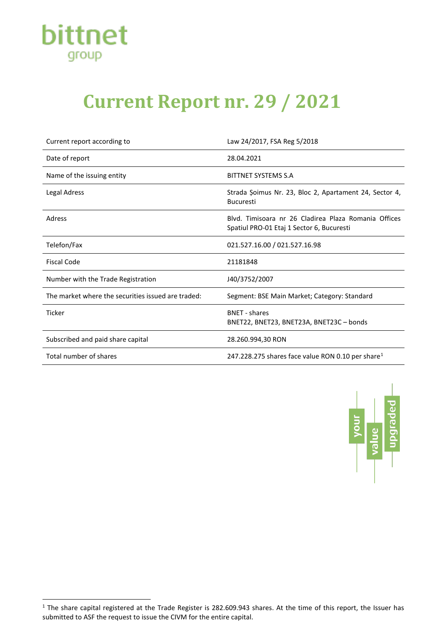

# **Current Report nr. 29 / 2021**

| Current report according to                        | Law 24/2017, FSA Reg 5/2018                                                                       |
|----------------------------------------------------|---------------------------------------------------------------------------------------------------|
| Date of report                                     | 28.04.2021                                                                                        |
| Name of the issuing entity                         | BITTNET SYSTEMS S.A                                                                               |
| <b>Legal Adress</b>                                | Strada Șoimus Nr. 23, Bloc 2, Apartament 24, Sector 4,<br><b>Bucuresti</b>                        |
| Adress                                             | Blyd. Timisoara nr 26 Cladirea Plaza Romania Offices<br>Spatiul PRO-01 Etaj 1 Sector 6, Bucuresti |
| Telefon/Fax                                        | 021.527.16.00 / 021.527.16.98                                                                     |
| <b>Fiscal Code</b>                                 | 21181848                                                                                          |
| Number with the Trade Registration                 | J40/3752/2007                                                                                     |
| The market where the securities issued are traded: | Segment: BSE Main Market; Category: Standard                                                      |
| <b>Ticker</b>                                      | <b>BNFT</b> - shares<br>BNET22, BNET23, BNET23A, BNET23C - bonds                                  |
| Subscribed and paid share capital                  | 28.260.994,30 RON                                                                                 |
| Total number of shares                             | 247.228.275 shares face value RON 0.10 per share <sup>1</sup>                                     |



<span id="page-0-0"></span> $1$  The share capital registered at the Trade Register is 282.609.943 shares. At the time of this report, the Issuer has submitted to ASF the request to issue the CIVM for the entire capital.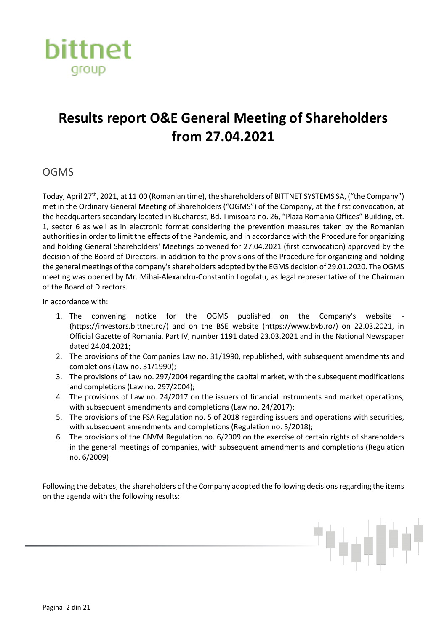

## **Results report O&E General Meeting of Shareholders from 27.04.2021**

#### **OGMS**

Today, April 27th, 2021, at 11:00 (Romanian time), the shareholders of BITTNET SYSTEMS SA, ("the Company") met in the Ordinary General Meeting of Shareholders ("OGMS") of the Company, at the first convocation, at the headquarters secondary located in Bucharest, Bd. Timisoara no. 26, "Plaza Romania Offices" Building, et. 1, sector 6 as well as in electronic format considering the prevention measures taken by the Romanian authorities in order to limit the effects of the Pandemic, and in accordance with the Procedure for organizing and holding General Shareholders' Meetings convened for 27.04.2021 (first convocation) approved by the decision of the Board of Directors, in addition to the provisions of the Procedure for organizing and holding the general meetings of the company's shareholders adopted by the EGMS decision of 29.01.2020. The OGMS meeting was opened by Mr. Mihai-Alexandru-Constantin Logofatu, as legal representative of the Chairman of the Board of Directors.

In accordance with:

- 1. The convening notice for the OGMS published on the Company's website (https://investors.bittnet.ro/) and on the BSE website (https://www.bvb.ro/) on 22.03.2021, in Official Gazette of Romania, Part IV, number 1191 dated 23.03.2021 and in the National Newspaper dated 24.04.2021;
- 2. The provisions of the Companies Law no. 31/1990, republished, with subsequent amendments and completions (Law no. 31/1990);
- 3. The provisions of Law no. 297/2004 regarding the capital market, with the subsequent modifications and completions (Law no. 297/2004);
- 4. The provisions of Law no. 24/2017 on the issuers of financial instruments and market operations, with subsequent amendments and completions (Law no. 24/2017);
- 5. The provisions of the FSA Regulation no. 5 of 2018 regarding issuers and operations with securities, with subsequent amendments and completions (Regulation no. 5/2018);
- 6. The provisions of the CNVM Regulation no. 6/2009 on the exercise of certain rights of shareholders in the general meetings of companies, with subsequent amendments and completions (Regulation no. 6/2009)

Following the debates, the shareholders of the Company adopted the following decisions regarding the items on the agenda with the following results: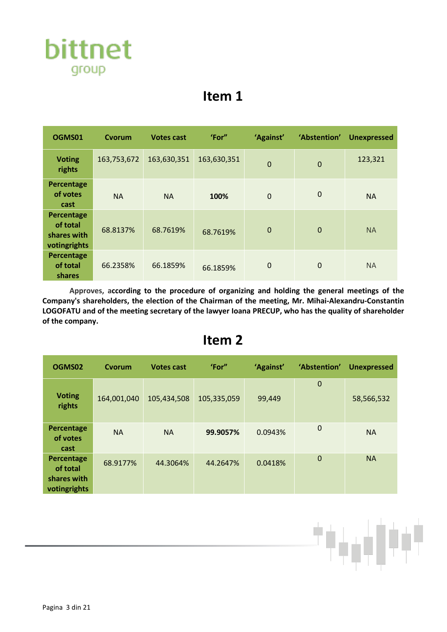

| OGMS01                                                | Cvorum      | <b>Votes cast</b> | 'For"       | 'Against'      | 'Abstention' | <b>Unexpressed</b> |
|-------------------------------------------------------|-------------|-------------------|-------------|----------------|--------------|--------------------|
| <b>Voting</b><br>rights                               | 163,753,672 | 163,630,351       | 163,630,351 | $\mathbf 0$    | $\mathbf 0$  | 123,321            |
| Percentage<br>of votes<br>cast                        | <b>NA</b>   | <b>NA</b>         | 100%        | $\overline{0}$ | $\mathbf 0$  | <b>NA</b>          |
| Percentage<br>of total<br>shares with<br>votingrights | 68.8137%    | 68.7619%          | 68.7619%    | $\mathbf 0$    | $\mathbf 0$  | <b>NA</b>          |
| Percentage<br>of total<br>shares                      | 66.2358%    | 66.1859%          | 66.1859%    | $\mathbf 0$    | 0            | <b>NA</b>          |

**Approves, according to the procedure of organizing and holding the general meetings of the Company's shareholders, the election of the Chairman of the meeting, Mr. Mihai-Alexandru-Constantin LOGOFATU and of the meeting secretary of the lawyer Ioana PRECUP, who has the quality of shareholder of the company.**

#### **Item 2**

| OGMS02                                                | Cvorum      | <b>Votes cast</b> | 'For"       | 'Against' | 'Abstention' | <b>Unexpressed</b> |
|-------------------------------------------------------|-------------|-------------------|-------------|-----------|--------------|--------------------|
| <b>Voting</b><br>rights                               | 164,001,040 | 105,434,508       | 105,335,059 | 99,449    | $\mathbf 0$  | 58,566,532         |
| Percentage<br>of votes<br>cast                        | <b>NA</b>   | <b>NA</b>         | 99.9057%    | 0.0943%   | $\mathbf 0$  | <b>NA</b>          |
| Percentage<br>of total<br>shares with<br>votingrights | 68.9177%    | 44.3064%          | 44.2647%    | 0.0418%   | $\mathbf 0$  | <b>NA</b>          |

البارا فرود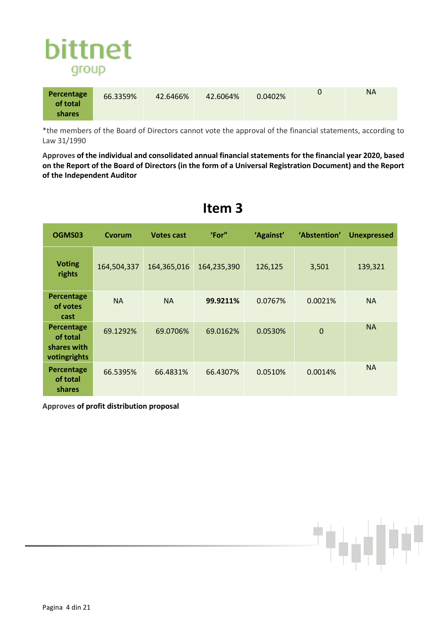

| Percentage<br>of total | 66.3359% | 42.6466% | 42.6064% | 0.0402% | <b>NA</b> |
|------------------------|----------|----------|----------|---------|-----------|
| <b>shares</b>          |          |          |          |         |           |

\*the members of the Board of Directors cannot vote the approval of the financial statements, according to Law 31/1990

**Approves of the individual and consolidated annual financial statements for the financial year 2020, based on the Report of the Board of Directors (in the form of a Universal Registration Document) and the Report of the Independent Auditor**

| OGMS03                                                | Cvorum      | <b>Votes cast</b> | 'For"       | 'Against' | 'Abstention' | <b>Unexpressed</b> |
|-------------------------------------------------------|-------------|-------------------|-------------|-----------|--------------|--------------------|
| <b>Voting</b><br>rights                               | 164,504,337 | 164,365,016       | 164,235,390 | 126,125   | 3,501        | 139,321            |
| Percentage<br>of votes<br>cast                        | <b>NA</b>   | <b>NA</b>         | 99.9211%    | 0.0767%   | 0.0021%      | <b>NA</b>          |
| Percentage<br>of total<br>shares with<br>votingrights | 69.1292%    | 69.0706%          | 69.0162%    | 0.0530%   | $\Omega$     | <b>NA</b>          |
| Percentage<br>of total<br>shares                      | 66.5395%    | 66.4831%          | 66.4307%    | 0.0510%   | 0.0014%      | <b>NA</b>          |

#### **Item 3**

**Approves of profit distribution proposal**

الباليريان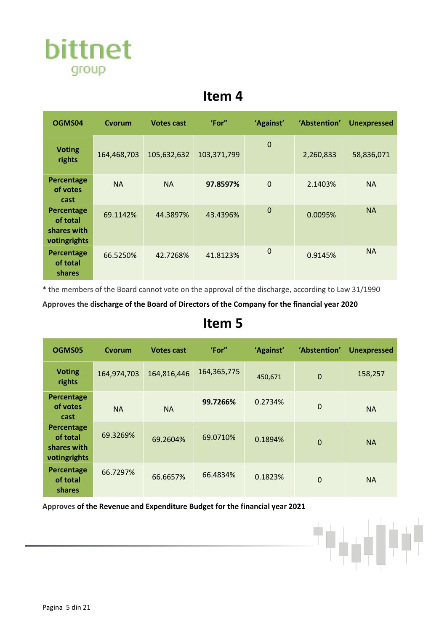

| OGMS04                                                | Cvorum      | <b>Votes cast</b> | 'For"       | 'Against'   | 'Abstention' | <b>Unexpressed</b> |
|-------------------------------------------------------|-------------|-------------------|-------------|-------------|--------------|--------------------|
| <b>Voting</b><br>rights                               | 164,468,703 | 105,632,632       | 103,371,799 | $\mathbf 0$ | 2,260,833    | 58,836,071         |
| Percentage<br>of votes<br>cast                        | <b>NA</b>   | <b>NA</b>         | 97.8597%    | $\mathbf 0$ | 2.1403%      | <b>NA</b>          |
| Percentage<br>of total<br>shares with<br>votingrights | 69.1142%    | 44.3897%          | 43.4396%    | $\mathbf 0$ | 0.0095%      | <b>NA</b>          |
| Percentage<br>of total<br>shares                      | 66.5250%    | 42.7268%          | 41.8123%    | $\mathbf 0$ | 0.9145%      | <b>NA</b>          |

\* the members of the Board cannot vote on the approval of the discharge, according to Law 31/1990

**Approves the discharge of the Board of Directors of the Company for the financial year 2020**

#### **Item 5**

| OGMS05                                                | Cvorum      | <b>Votes cast</b> | 'For"         | 'Against' | 'Abstention' | <b>Unexpressed</b> |
|-------------------------------------------------------|-------------|-------------------|---------------|-----------|--------------|--------------------|
| <b>Voting</b><br>rights                               | 164,974,703 | 164,816,446       | 164, 365, 775 | 450,671   | $\mathbf 0$  | 158,257            |
| Percentage<br>of votes<br>cast                        | <b>NA</b>   | <b>NA</b>         | 99.7266%      | 0.2734%   | 0            | <b>NA</b>          |
| Percentage<br>of total<br>shares with<br>votingrights | 69.3269%    | 69.2604%          | 69.0710%      | 0.1894%   | $\mathbf 0$  | <b>NA</b>          |
| Percentage<br>of total<br>shares                      | 66.7297%    | 66.6657%          | 66.4834%      | 0.1823%   | 0            | <b>NA</b>          |

**Approves of the Revenue and Expenditure Budget for the financial year 2021**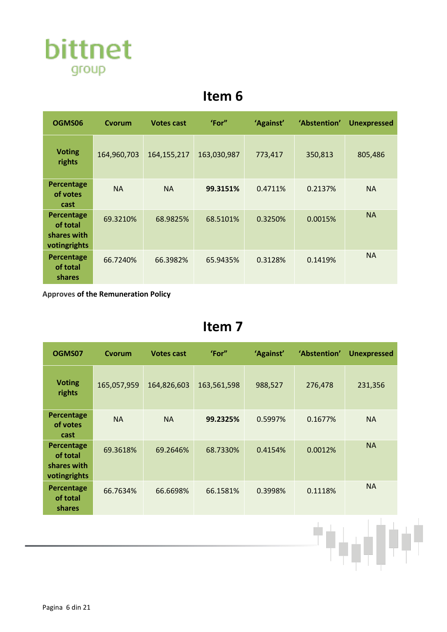

| OGMS06                                                | Cvorum      | <b>Votes cast</b> | 'For"       | 'Against' | 'Abstention' | <b>Unexpressed</b> |
|-------------------------------------------------------|-------------|-------------------|-------------|-----------|--------------|--------------------|
| <b>Voting</b><br>rights                               | 164,960,703 | 164, 155, 217     | 163,030,987 | 773,417   | 350,813      | 805,486            |
| Percentage<br>of votes<br>cast                        | <b>NA</b>   | <b>NA</b>         | 99.3151%    | 0.4711%   | 0.2137%      | <b>NA</b>          |
| Percentage<br>of total<br>shares with<br>votingrights | 69.3210%    | 68.9825%          | 68.5101%    | 0.3250%   | 0.0015%      | <b>NA</b>          |
| Percentage<br>of total<br><b>shares</b>               | 66.7240%    | 66.3982%          | 65.9435%    | 0.3128%   | 0.1419%      | <b>NA</b>          |

**Approves of the Remuneration Policy**

| OGMS07                                                | Cvorum      | <b>Votes cast</b> | 'For"       | 'Against' | 'Abstention' | <b>Unexpressed</b> |
|-------------------------------------------------------|-------------|-------------------|-------------|-----------|--------------|--------------------|
| <b>Voting</b><br>rights                               | 165,057,959 | 164,826,603       | 163,561,598 | 988,527   | 276,478      | 231,356            |
| Percentage<br>of votes<br>cast                        | <b>NA</b>   | <b>NA</b>         | 99.2325%    | 0.5997%   | 0.1677%      | <b>NA</b>          |
| Percentage<br>of total<br>shares with<br>votingrights | 69.3618%    | 69.2646%          | 68.7330%    | 0.4154%   | 0.0012%      | <b>NA</b>          |
| Percentage<br>of total<br>shares                      | 66.7634%    | 66.6698%          | 66.1581%    | 0.3998%   | 0.1118%      | <b>NA</b>          |
|                                                       |             |                   |             |           |              |                    |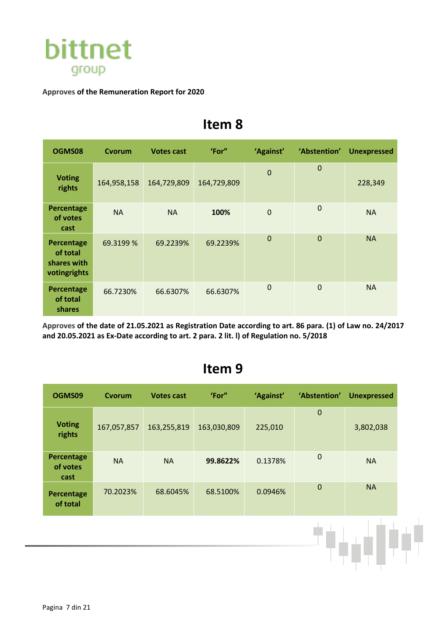

#### **Approves of the Remuneration Report for 2020**

#### **Item 8**

| OGMS08                                                | Cvorum      | <b>Votes cast</b> | 'For"       | 'Against'   | 'Abstention' | <b>Unexpressed</b> |
|-------------------------------------------------------|-------------|-------------------|-------------|-------------|--------------|--------------------|
| <b>Voting</b><br>rights                               | 164,958,158 | 164,729,809       | 164,729,809 | $\mathbf 0$ | $\mathbf 0$  | 228,349            |
| Percentage<br>of votes<br>cast                        | <b>NA</b>   | <b>NA</b>         | 100%        | $\mathbf 0$ | 0            | <b>NA</b>          |
| Percentage<br>of total<br>shares with<br>votingrights | 69.3199 %   | 69.2239%          | 69.2239%    | $\mathbf 0$ | $\mathbf 0$  | <b>NA</b>          |
| Percentage<br>of total<br>shares                      | 66.7230%    | 66.6307%          | 66.6307%    | 0           | 0            | <b>NA</b>          |

**Approves of the date of 21.05.2021 as Registration Date according to art. 86 para. (1) of Law no. 24/2017 and 20.05.2021 as Ex-Date according to art. 2 para. 2 lit. l) of Regulation no. 5/2018**

| OGMS09                                | Cvorum      | <b>Votes cast</b> | 'For"       | 'Against' | 'Abstention' | <b>Unexpressed</b> |
|---------------------------------------|-------------|-------------------|-------------|-----------|--------------|--------------------|
| <b>Voting</b><br>rights               | 167,057,857 | 163,255,819       | 163,030,809 | 225,010   | $\bf 0$      | 3,802,038          |
| <b>Percentage</b><br>of votes<br>cast | <b>NA</b>   | <b>NA</b>         | 99.8622%    | 0.1378%   | $\mathbf 0$  | <b>NA</b>          |
| Percentage<br>of total                | 70.2023%    | 68.6045%          | 68.5100%    | 0.0946%   | $\bf 0$      | <b>NA</b>          |
|                                       |             |                   |             |           |              |                    |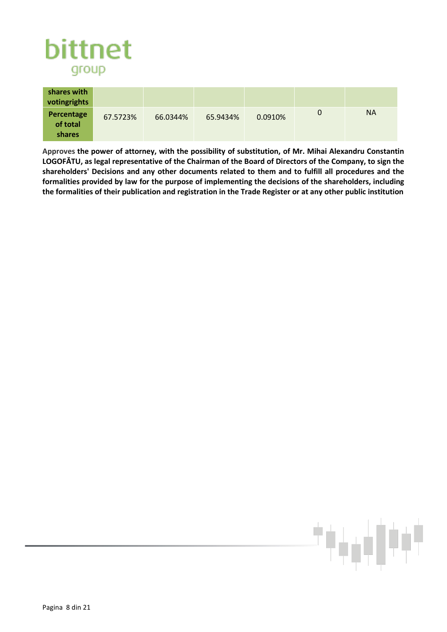

| shares with<br>votingrights      |          |          |          |         |   |    |
|----------------------------------|----------|----------|----------|---------|---|----|
| Percentage<br>of total<br>shares | 67.5723% | 66.0344% | 65.9434% | 0.0910% | O | NА |

**Approves the power of attorney, with the possibility of substitution, of Mr. Mihai Alexandru Constantin LOGOFĂTU, as legal representative of the Chairman of the Board of Directors of the Company, to sign the shareholders' Decisions and any other documents related to them and to fulfill all procedures and the formalities provided by law for the purpose of implementing the decisions of the shareholders, including the formalities of their publication and registration in the Trade Register or at any other public institution**

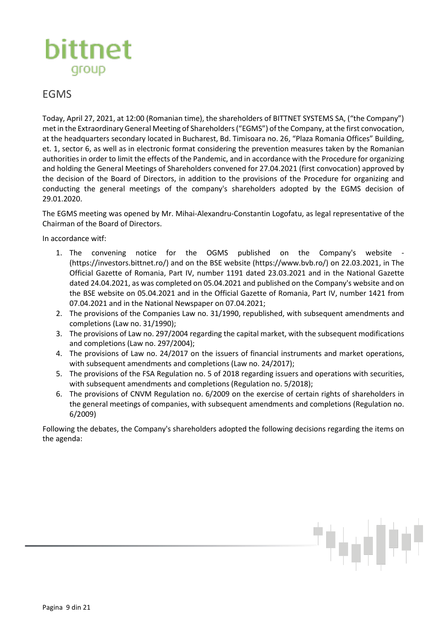

#### EGMS

Today, April 27, 2021, at 12:00 (Romanian time), the shareholders of BITTNET SYSTEMS SA, ("the Company") met in the Extraordinary General Meeting of Shareholders ("EGMS") of the Company, at the first convocation, at the headquarters secondary located in Bucharest, Bd. Timisoara no. 26, "Plaza Romania Offices" Building, et. 1, sector 6, as well as in electronic format considering the prevention measures taken by the Romanian authorities in order to limit the effects of the Pandemic, and in accordance with the Procedure for organizing and holding the General Meetings of Shareholders convened for 27.04.2021 (first convocation) approved by the decision of the Board of Directors, in addition to the provisions of the Procedure for organizing and conducting the general meetings of the company's shareholders adopted by the EGMS decision of 29.01.2020.

The EGMS meeting was opened by Mr. Mihai-Alexandru-Constantin Logofatu, as legal representative of the Chairman of the Board of Directors.

In accordance witf:

- 1. The convening notice for the OGMS published on the Company's website (https://investors.bittnet.ro/) and on the BSE website (https://www.bvb.ro/) on 22.03.2021, in The Official Gazette of Romania, Part IV, number 1191 dated 23.03.2021 and in the National Gazette dated 24.04.2021, as was completed on 05.04.2021 and published on the Company's website and on the BSE website on 05.04.2021 and in the Official Gazette of Romania, Part IV, number 1421 from 07.04.2021 and in the National Newspaper on 07.04.2021;
- 2. The provisions of the Companies Law no. 31/1990, republished, with subsequent amendments and completions (Law no. 31/1990);
- 3. The provisions of Law no. 297/2004 regarding the capital market, with the subsequent modifications and completions (Law no. 297/2004);
- 4. The provisions of Law no. 24/2017 on the issuers of financial instruments and market operations, with subsequent amendments and completions (Law no. 24/2017);
- 5. The provisions of the FSA Regulation no. 5 of 2018 regarding issuers and operations with securities, with subsequent amendments and completions (Regulation no. 5/2018);
- 6. The provisions of CNVM Regulation no. 6/2009 on the exercise of certain rights of shareholders in the general meetings of companies, with subsequent amendments and completions (Regulation no. 6/2009)

Following the debates, the Company's shareholders adopted the following decisions regarding the items on the agenda: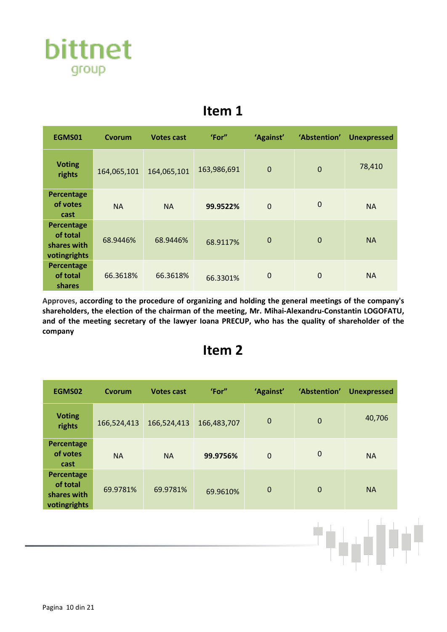

| EGMS01                                                | Cvorum      | <b>Votes cast</b> | 'For"       | 'Against'      | 'Abstention' | <b>Unexpressed</b> |
|-------------------------------------------------------|-------------|-------------------|-------------|----------------|--------------|--------------------|
| <b>Voting</b><br>rights                               | 164,065,101 | 164,065,101       | 163,986,691 | $\mathbf 0$    | $\mathbf 0$  | 78,410             |
| Percentage<br>of votes<br>cast                        | <b>NA</b>   | <b>NA</b>         | 99.9522%    | $\overline{0}$ | $\mathbf 0$  | <b>NA</b>          |
| Percentage<br>of total<br>shares with<br>votingrights | 68.9446%    | 68.9446%          | 68.9117%    | $\mathbf 0$    | $\mathbf 0$  | <b>NA</b>          |
| Percentage<br>of total<br>shares                      | 66.3618%    | 66.3618%          | 66.3301%    | $\mathbf 0$    | 0            | <b>NA</b>          |

**Approves, according to the procedure of organizing and holding the general meetings of the company's shareholders, the election of the chairman of the meeting, Mr. Mihai-Alexandru-Constantin LOGOFATU, and of the meeting secretary of the lawyer Ioana PRECUP, who has the quality of shareholder of the company**

#### **Item 2**

| EGMS02                                                | Cvorum      | <b>Votes cast</b> | 'For"       | 'Against'   | 'Abstention' | <b>Unexpressed</b> |
|-------------------------------------------------------|-------------|-------------------|-------------|-------------|--------------|--------------------|
| <b>Voting</b><br>rights                               | 166,524,413 | 166,524,413       | 166,483,707 | $\mathbf 0$ | $\mathbf 0$  | 40,706             |
| Percentage<br>of votes<br>cast                        | <b>NA</b>   | <b>NA</b>         | 99.9756%    | $\mathbf 0$ | $\mathbf 0$  | <b>NA</b>          |
| Percentage<br>of total<br>shares with<br>votingrights | 69.9781%    | 69.9781%          | 69.9610%    | $\mathbf 0$ | $\mathbf 0$  | <b>NA</b>          |

ابارين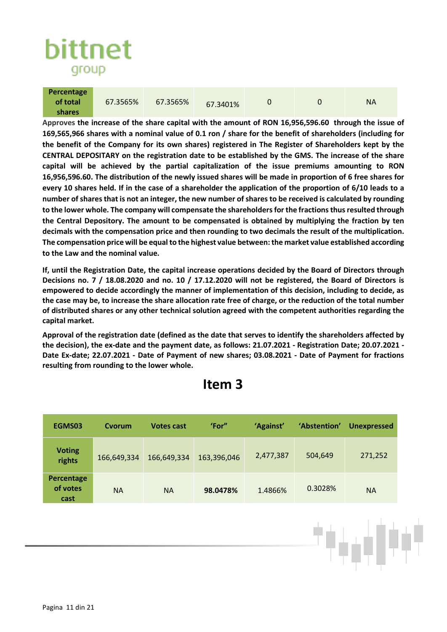

| Percentage |          |          |          |  |           |
|------------|----------|----------|----------|--|-----------|
| of total   | 67.3565% | 67.3565% | 67.3401% |  | <b>NA</b> |
| shares     |          |          |          |  |           |

**Approves the increase of the share capital with the amount of RON 16,956,596.60 through the issue of 169,565,966 shares with a nominal value of 0.1 ron / share for the benefit of shareholders (including for the benefit of the Company for its own shares) registered in The Register of Shareholders kept by the CENTRAL DEPOSITARY on the registration date to be established by the GMS. The increase of the share capital will be achieved by the partial capitalization of the issue premiums amounting to RON 16,956,596.60. The distribution of the newly issued shares will be made in proportion of 6 free shares for every 10 shares held. If in the case of a shareholder the application of the proportion of 6/10 leads to a number of shares that is not an integer, the new number of shares to be received is calculated by rounding to the lower whole. The company will compensate the shareholders for the fractions thus resulted through the Central Depository. The amount to be compensated is obtained by multiplying the fraction by ten decimals with the compensation price and then rounding to two decimals the result of the multiplication. The compensation price will be equal to the highest value between: the market value established according to the Law and the nominal value.**

**If, until the Registration Date, the capital increase operations decided by the Board of Directors through Decisions no. 7 / 18.08.2020 and no. 10 / 17.12.2020 will not be registered, the Board of Directors is empowered to decide accordingly the manner of implementation of this decision, including to decide, as the case may be, to increase the share allocation rate free of charge, or the reduction of the total number of distributed shares or any other technical solution agreed with the competent authorities regarding the capital market.** 

**Approval of the registration date (defined as the date that serves to identify the shareholders affected by the decision), the ex-date and the payment date, as follows: 21.07.2021 - Registration Date; 20.07.2021 - Date Ex-date; 22.07.2021 - Date of Payment of new shares; 03.08.2021 - Date of Payment for fractions resulting from rounding to the lower whole.**

| EGMS03                         | Cvorum      | <b>Votes cast</b> | 'For"       | 'Against' | 'Abstention' | <b>Unexpressed</b> |
|--------------------------------|-------------|-------------------|-------------|-----------|--------------|--------------------|
| <b>Voting</b><br>rights        | 166,649,334 | 166,649,334       | 163,396,046 | 2,477,387 | 504,649      | 271,252            |
| Percentage<br>of votes<br>cast | <b>NA</b>   | <b>NA</b>         | 98.0478%    | 1.4866%   | 0.3028%      | <b>NA</b>          |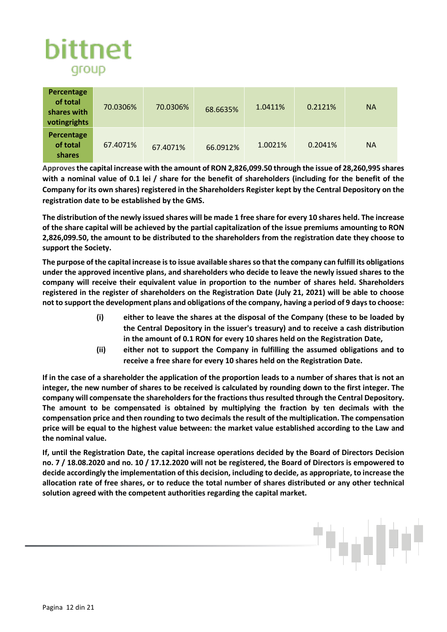# bittnet group

| Percentage<br>of total<br>shares with<br>votingrights | 70.0306% | 70.0306% | 68.6635% | 1.0411% | 0.2121% | <b>NA</b> |
|-------------------------------------------------------|----------|----------|----------|---------|---------|-----------|
| Percentage<br>of total<br>shares                      | 67.4071% | 67.4071% | 66.0912% | 1.0021% | 0.2041% | <b>NA</b> |

**Approvesthe capital increase with the amount of RON 2,826,099.50 through the issue of 28,260,995 shares with a nominal value of 0.1 lei / share for the benefit of shareholders (including for the benefit of the Company for its own shares) registered in the Shareholders Register kept by the Central Depository on the registration date to be established by the GMS.** 

**The distribution of the newly issued shares will be made 1 free share for every 10 shares held. The increase of the share capital will be achieved by the partial capitalization of the issue premiums amounting to RON 2,826,099.50, the amount to be distributed to the shareholders from the registration date they choose to support the Society.** 

**The purpose of the capital increase is to issue available shares so that the company can fulfill its obligations under the approved incentive plans, and shareholders who decide to leave the newly issued shares to the company will receive their equivalent value in proportion to the number of shares held. Shareholders registered in the register of shareholders on the Registration Date (July 21, 2021) will be able to choose not to support the development plans and obligations of the company, having a period of 9 days to choose:** 

- **(i) either to leave the shares at the disposal of the Company (these to be loaded by the Central Depository in the issuer's treasury) and to receive a cash distribution in the amount of 0.1 RON for every 10 shares held on the Registration Date,**
- **(ii) either not to support the Company in fulfilling the assumed obligations and to receive a free share for every 10 shares held on the Registration Date.**

**If in the case of a shareholder the application of the proportion leads to a number of shares that is not an integer, the new number of shares to be received is calculated by rounding down to the first integer. The company will compensate the shareholders for the fractions thus resulted through the Central Depository. The amount to be compensated is obtained by multiplying the fraction by ten decimals with the compensation price and then rounding to two decimals the result of the multiplication. The compensation price will be equal to the highest value between: the market value established according to the Law and the nominal value.**

**If, until the Registration Date, the capital increase operations decided by the Board of Directors Decision no. 7 / 18.08.2020 and no. 10 / 17.12.2020 will not be registered, the Board of Directors is empowered to decide accordingly the implementation of this decision, including to decide, as appropriate, to increase the allocation rate of free shares, or to reduce the total number of shares distributed or any other technical solution agreed with the competent authorities regarding the capital market.**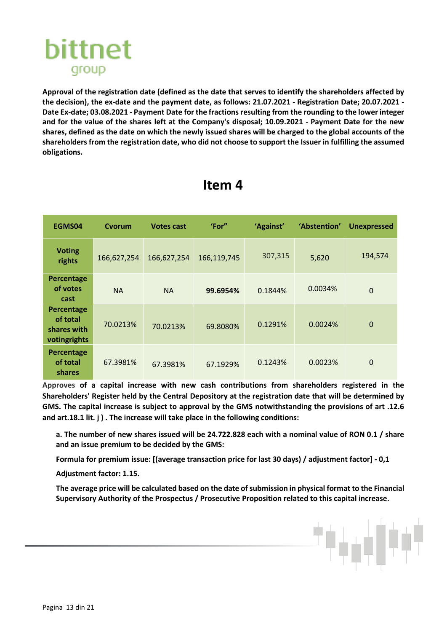

**Approval of the registration date (defined as the date that serves to identify the shareholders affected by the decision), the ex-date and the payment date, as follows: 21.07.2021 - Registration Date; 20.07.2021 - Date Ex-date; 03.08.2021 - Payment Date for the fractions resulting from the rounding to the lower integer and for the value of the shares left at the Company's disposal; 10.09.2021 - Payment Date for the new shares, defined as the date on which the newly issued shares will be charged to the global accounts of the shareholders from the registration date, who did not choose to support the Issuer in fulfilling the assumed obligations.**

| EGMS04                                                | Cvorum      | <b>Votes cast</b> | 'For"       | 'Against' | 'Abstention' | <b>Unexpressed</b> |
|-------------------------------------------------------|-------------|-------------------|-------------|-----------|--------------|--------------------|
| <b>Voting</b><br>rights                               | 166,627,254 | 166,627,254       | 166,119,745 | 307,315   | 5,620        | 194,574            |
| Percentage<br>of votes<br>cast                        | <b>NA</b>   | <b>NA</b>         | 99.6954%    | 0.1844%   | 0.0034%      | $\overline{0}$     |
| Percentage<br>of total<br>shares with<br>votingrights | 70.0213%    | 70.0213%          | 69.8080%    | 0.1291%   | 0.0024%      | $\mathbf 0$        |
| Percentage<br>of total<br>shares                      | 67.3981%    | 67.3981%          | 67.1929%    | 0.1243%   | 0.0023%      | $\mathbf 0$        |

#### **Item 4**

**Approves of a capital increase with new cash contributions from shareholders registered in the Shareholders' Register held by the Central Depository at the registration date that will be determined by GMS. The capital increase is subject to approval by the GMS notwithstanding the provisions of art .12.6 and art.18.1 lit. j ) . The increase will take place in the following conditions:** 

**a. The number of new shares issued will be 24.722.828 each with a nominal value of RON 0.1 / share and an issue premium to be decided by the GMS:** 

**Formula for premium issue: [(average transaction price for last 30 days) / adjustment factor] - 0,1** 

**Adjustment factor: 1.15.** 

**The average price will be calculated based on the date of submission in physical format to the Financial Supervisory Authority of the Prospectus / Prosecutive Proposition related to this capital increase.**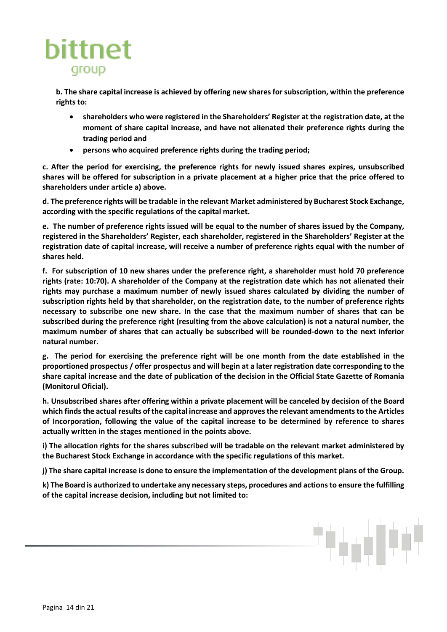

**b. The share capital increase is achieved by offering new shares for subscription, within the preference rights to:**

- **shareholders who were registered in the Shareholders' Register at the registration date, at the moment of share capital increase, and have not alienated their preference rights during the trading period and**
- **persons who acquired preference rights during the trading period;**

**c. After the period for exercising, the preference rights for newly issued shares expires, unsubscribed shares will be offered for subscription in a private placement at a higher price that the price offered to shareholders under article a) above.** 

**d. The preference rights will be tradable in the relevant Market administered by Bucharest Stock Exchange, according with the specific regulations of the capital market.** 

**e. The number of preference rights issued will be equal to the number of shares issued by the Company, registered in the Shareholders' Register, each shareholder, registered in the Shareholders' Register at the registration date of capital increase, will receive a number of preference rights equal with the number of shares held.** 

**f. For subscription of 10 new shares under the preference right, a shareholder must hold 70 preference rights (rate: 10:70). A shareholder of the Company at the registration date which has not alienated their rights may purchase a maximum number of newly issued shares calculated by dividing the number of subscription rights held by that shareholder, on the registration date, to the number of preference rights necessary to subscribe one new share. In the case that the maximum number of shares that can be subscribed during the preference right (resulting from the above calculation) is not a natural number, the maximum number of shares that can actually be subscribed will be rounded-down to the next inferior natural number.** 

**g. The period for exercising the preference right will be one month from the date established in the proportioned prospectus / offer prospectus and will begin at a later registration date corresponding to the share capital increase and the date of publication of the decision in the Official State Gazette of Romania (Monitorul Oficial).** 

**h. Unsubscribed shares after offering within a private placement will be canceled by decision of the Board which finds the actual results of the capital increase and approves the relevant amendments to the Articles of Incorporation, following the value of the capital increase to be determined by reference to shares actually written in the stages mentioned in the points above.** 

**i) The allocation rights for the shares subscribed will be tradable on the relevant market administered by the Bucharest Stock Exchange in accordance with the specific regulations of this market.** 

**j) The share capital increase is done to ensure the implementation of the development plans of the Group.** 

**k) The Board is authorized to undertake any necessary steps, procedures and actions to ensure the fulfilling of the capital increase decision, including but not limited to:**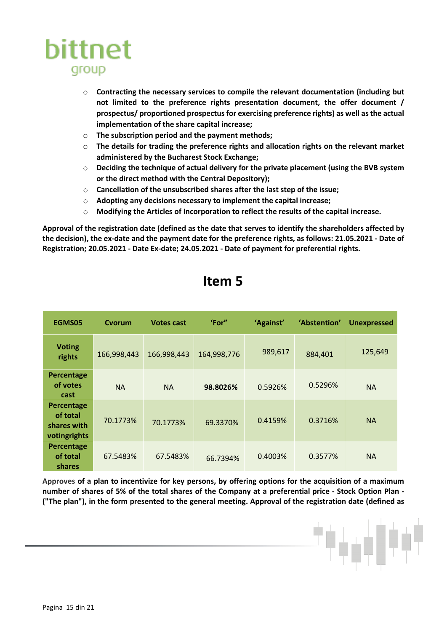

- o **Contracting the necessary services to compile the relevant documentation (including but not limited to the preference rights presentation document, the offer document / prospectus/ proportioned prospectus for exercising preference rights) as well as the actual implementation of the share capital increase;**
- o **The subscription period and the payment methods;**
- o **The details for trading the preference rights and allocation rights on the relevant market administered by the Bucharest Stock Exchange;**
- o **Deciding the technique of actual delivery for the private placement (using the BVB system or the direct method with the Central Depository);**
- o **Cancellation of the unsubscribed shares after the last step of the issue;**
- o **Adopting any decisions necessary to implement the capital increase;**
- o **Modifying the Articles of Incorporation to reflect the results of the capital increase.**

**Approval of the registration date (defined as the date that serves to identify the shareholders affected by the decision), the ex-date and the payment date for the preference rights, as follows: 21.05.2021 - Date of Registration; 20.05.2021 - Date Ex-date; 24.05.2021 - Date of payment for preferential rights.**

| EGMS05                                                | Cvorum      | <b>Votes cast</b> | 'For"       | 'Against' | 'Abstention' | <b>Unexpressed</b> |
|-------------------------------------------------------|-------------|-------------------|-------------|-----------|--------------|--------------------|
| <b>Voting</b><br>rights                               | 166,998,443 | 166,998,443       | 164,998,776 | 989,617   | 884,401      | 125,649            |
| Percentage<br>of votes<br>cast                        | <b>NA</b>   | <b>NA</b>         | 98.8026%    | 0.5926%   | 0.5296%      | <b>NA</b>          |
| Percentage<br>of total<br>shares with<br>votingrights | 70.1773%    | 70.1773%          | 69.3370%    | 0.4159%   | 0.3716%      | <b>NA</b>          |
| Percentage<br>of total<br>shares                      | 67.5483%    | 67.5483%          | 66.7394%    | 0.4003%   | 0.3577%      | <b>NA</b>          |

#### **Item 5**

**Approves of a plan to incentivize for key persons, by offering options for the acquisition of a maximum number of shares of 5% of the total shares of the Company at a preferential price - Stock Option Plan - ("The plan"), in the form presented to the general meeting. Approval of the registration date (defined as**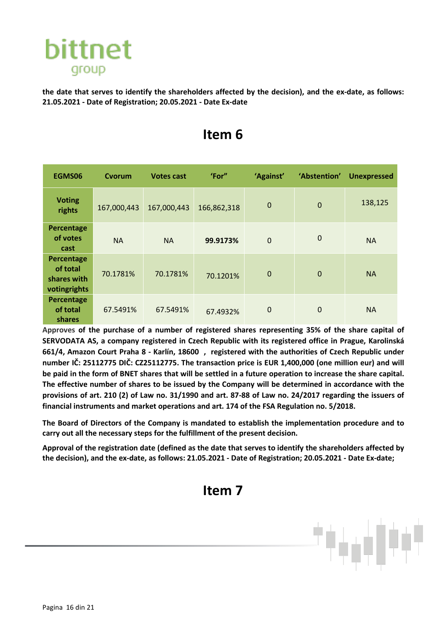

**the date that serves to identify the shareholders affected by the decision), and the ex-date, as follows: 21.05.2021 - Date of Registration; 20.05.2021 - Date Ex-date**

| EGMS06                                                | Cvorum      | <b>Votes cast</b> | 'For"       | 'Against'   | 'Abstention' | <b>Unexpressed</b> |
|-------------------------------------------------------|-------------|-------------------|-------------|-------------|--------------|--------------------|
| <b>Voting</b><br>rights                               | 167,000,443 | 167,000,443       | 166,862,318 | $\mathbf 0$ | $\mathbf 0$  | 138,125            |
| Percentage<br>of votes<br>cast                        | <b>NA</b>   | <b>NA</b>         | 99.9173%    | $\mathbf 0$ | $\mathbf 0$  | <b>NA</b>          |
| Percentage<br>of total<br>shares with<br>votingrights | 70.1781%    | 70.1781%          | 70.1201%    | $\mathbf 0$ | $\mathbf 0$  | <b>NA</b>          |
| Percentage<br>of total<br>shares                      | 67.5491%    | 67.5491%          | 67.4932%    | $\mathbf 0$ | $\mathbf 0$  | <b>NA</b>          |

## **Item 6**

**Approves of the purchase of a number of registered shares representing 35% of the share capital of SERVODATA AS, a company registered in Czech Republic with its registered office in Prague, Karolinská 661/4, Amazon Court Praha 8 - Karlín, 18600 , registered with the authorities of Czech Republic under number IČ: 25112775 DIČ: CZ25112775. The transaction price is EUR 1,400,000 (one million eur) and will be paid in the form of BNET shares that will be settled in a future operation to increase the share capital. The effective number of shares to be issued by the Company will be determined in accordance with the provisions of art. 210 (2) of Law no. 31/1990 and art. 87-88 of Law no. 24/2017 regarding the issuers of financial instruments and market operations and art. 174 of the FSA Regulation no. 5/2018.** 

**The Board of Directors of the Company is mandated to establish the implementation procedure and to carry out all the necessary steps for the fulfillment of the present decision.** 

**Approval of the registration date (defined as the date that serves to identify the shareholders affected by the decision), and the ex-date, as follows: 21.05.2021 - Date of Registration; 20.05.2021 - Date Ex-date;**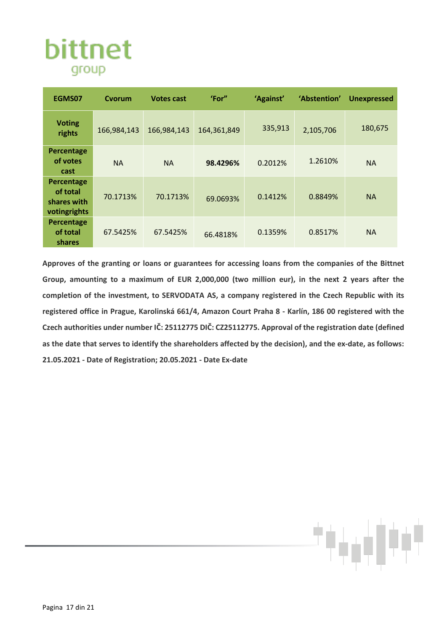

| EGMS07                                                | Cvorum      | <b>Votes cast</b> | 'For"       | 'Against' | 'Abstention' | <b>Unexpressed</b> |
|-------------------------------------------------------|-------------|-------------------|-------------|-----------|--------------|--------------------|
| <b>Voting</b><br>rights                               | 166,984,143 | 166,984,143       | 164,361,849 | 335,913   | 2,105,706    | 180,675            |
| Percentage<br>of votes<br>cast                        | <b>NA</b>   | <b>NA</b>         | 98.4296%    | 0.2012%   | 1.2610%      | <b>NA</b>          |
| Percentage<br>of total<br>shares with<br>votingrights | 70.1713%    | 70.1713%          | 69.0693%    | 0.1412%   | 0.8849%      | <b>NA</b>          |
| Percentage<br>of total<br>shares                      | 67.5425%    | 67.5425%          | 66.4818%    | 0.1359%   | 0.8517%      | <b>NA</b>          |

**Approves of the granting or loans or guarantees for accessing loans from the companies of the Bittnet Group, amounting to a maximum of EUR 2,000,000 (two million eur), in the next 2 years after the completion of the investment, to SERVODATA AS, a company registered in the Czech Republic with its registered office in Prague, Karolinská 661/4, Amazon Court Praha 8 - Karlín, 186 00 registered with the Czech authorities under number IČ: 25112775 DIČ: CZ25112775. Approval of the registration date (defined as the date that serves to identify the shareholders affected by the decision), and the ex-date, as follows: 21.05.2021 - Date of Registration; 20.05.2021 - Date Ex-date**

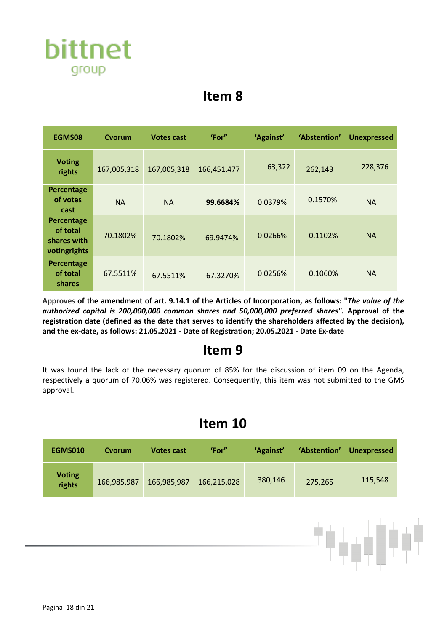

| EGMS08                                                | Cvorum      | <b>Votes cast</b> | 'For"       | 'Against' | 'Abstention' | <b>Unexpressed</b> |
|-------------------------------------------------------|-------------|-------------------|-------------|-----------|--------------|--------------------|
| <b>Voting</b><br>rights                               | 167,005,318 | 167,005,318       | 166,451,477 | 63,322    | 262,143      | 228,376            |
| Percentage<br>of votes<br>cast                        | <b>NA</b>   | <b>NA</b>         | 99.6684%    | 0.0379%   | 0.1570%      | <b>NA</b>          |
| Percentage<br>of total<br>shares with<br>votingrights | 70.1802%    | 70.1802%          | 69.9474%    | 0.0266%   | 0.1102%      | <b>NA</b>          |
| Percentage<br>of total<br>shares                      | 67.5511%    | 67.5511%          | 67.3270%    | 0.0256%   | 0.1060%      | <b>NA</b>          |

**Approves of the amendment of art. 9.14.1 of the Articles of Incorporation, as follows: "***The value of the authorized capital is 200,000,000 common shares and 50,000,000 preferred shares".* **Approval of the registration date (defined as the date that serves to identify the shareholders affected by the decision), and the ex-date, as follows: 21.05.2021 - Date of Registration; 20.05.2021 - Date Ex-date**

#### **Item 9**

It was found the lack of the necessary quorum of 85% for the discussion of item 09 on the Agenda, respectively a quorum of 70.06% was registered. Consequently, this item was not submitted to the GMS approval.

#### **Item 10**

| <b>EGMS010</b>          | Cvorum      | <b>Votes cast</b> | 'For"       | 'Against' | 'Abstention' | <b>Unexpressed</b> |
|-------------------------|-------------|-------------------|-------------|-----------|--------------|--------------------|
| <b>Voting</b><br>rights | 166,985,987 | 166,985,987       | 166,215,028 | 380,146   | 275,265      | 115,548            |

柚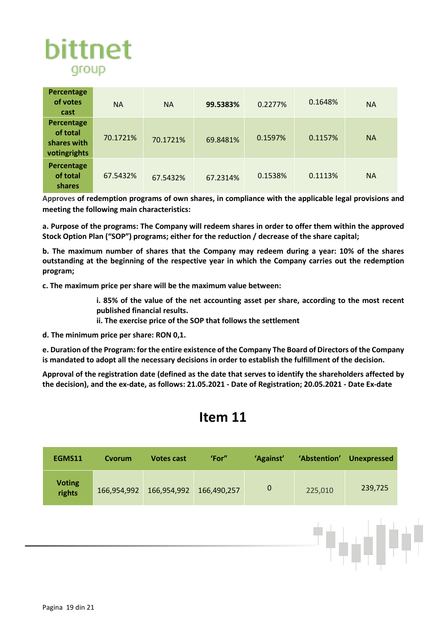

| Percentage<br>of votes<br>cast                        | <b>NA</b> | <b>NA</b> | 99.5383% | 0.2277% | 0.1648% | <b>NA</b> |
|-------------------------------------------------------|-----------|-----------|----------|---------|---------|-----------|
| Percentage<br>of total<br>shares with<br>votingrights | 70.1721%  | 70.1721%  | 69.8481% | 0.1597% | 0.1157% | <b>NA</b> |
| Percentage<br>of total<br>shares                      | 67.5432%  | 67.5432%  | 67.2314% | 0.1538% | 0.1113% | <b>NA</b> |

**Approves of redemption programs of own shares, in compliance with the applicable legal provisions and meeting the following main characteristics:** 

**a. Purpose of the programs: The Company will redeem shares in order to offer them within the approved Stock Option Plan ("SOP") programs; either for the reduction / decrease of the share capital;** 

**b. The maximum number of shares that the Company may redeem during a year: 10% of the shares outstanding at the beginning of the respective year in which the Company carries out the redemption program;** 

**c. The maximum price per share will be the maximum value between:** 

- **i. 85% of the value of the net accounting asset per share, according to the most recent published financial results.**
- **ii. The exercise price of the SOP that follows the settlement**

**d. The minimum price per share: RON 0,1.**

**e. Duration of the Program: for the entire existence of the Company The Board of Directors of the Company is mandated to adopt all the necessary decisions in order to establish the fulfillment of the decision.** 

**Approval of the registration date (defined as the date that serves to identify the shareholders affected by the decision), and the ex-date, as follows: 21.05.2021 - Date of Registration; 20.05.2021 - Date Ex-date**

| EGMS11                  | Cvorum      | <b>Votes cast</b> | 'For"       | 'Against'   | 'Abstention' | <b>Unexpressed</b> |
|-------------------------|-------------|-------------------|-------------|-------------|--------------|--------------------|
| <b>Voting</b><br>rights | 166,954,992 | 166,954,992       | 166,490,257 | $\mathbf 0$ | 225,010      | 239,725            |
|                         |             |                   |             |             |              |                    |
|                         |             |                   |             |             |              |                    |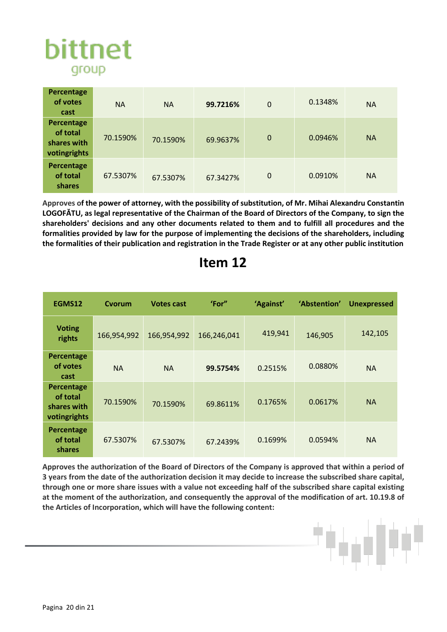

| Percentage<br>of votes<br>cast                        | <b>NA</b> | <b>NA</b> | 99.7216% | $\mathbf 0$ | 0.1348% | <b>NA</b> |
|-------------------------------------------------------|-----------|-----------|----------|-------------|---------|-----------|
| Percentage<br>of total<br>shares with<br>votingrights | 70.1590%  | 70.1590%  | 69.9637% | $\mathbf 0$ | 0.0946% | <b>NA</b> |
| Percentage<br>of total<br>shares                      | 67.5307%  | 67.5307%  | 67.3427% | $\mathbf 0$ | 0.0910% | <b>NA</b> |

**Approves of the power of attorney, with the possibility of substitution, of Mr. Mihai Alexandru Constantin LOGOFĂTU, as legal representative of the Chairman of the Board of Directors of the Company, to sign the shareholders' decisions and any other documents related to them and to fulfill all procedures and the formalities provided by law for the purpose of implementing the decisions of the shareholders, including the formalities of their publication and registration in the Trade Register or at any other public institution**

| EGMS12                                                | Cvorum      | <b>Votes cast</b> | 'For"       | 'Against' | 'Abstention' | <b>Unexpressed</b> |
|-------------------------------------------------------|-------------|-------------------|-------------|-----------|--------------|--------------------|
| <b>Voting</b><br>rights                               | 166,954,992 | 166,954,992       | 166,246,041 | 419,941   | 146,905      | 142,105            |
| Percentage<br>of votes<br>cast                        | <b>NA</b>   | <b>NA</b>         | 99.5754%    | 0.2515%   | 0.0880%      | <b>NA</b>          |
| Percentage<br>of total<br>shares with<br>votingrights | 70.1590%    | 70.1590%          | 69.8611%    | 0.1765%   | 0.0617%      | <b>NA</b>          |
| Percentage<br>of total<br>shares                      | 67.5307%    | 67.5307%          | 67.2439%    | 0.1699%   | 0.0594%      | <b>NA</b>          |

#### **Item 12**

**Approves the authorization of the Board of Directors of the Company is approved that within a period of 3 years from the date of the authorization decision it may decide to increase the subscribed share capital, through one or more share issues with a value not exceeding half of the subscribed share capital existing at the moment of the authorization, and consequently the approval of the modification of art. 10.19.8 of the Articles of Incorporation, which will have the following content:**